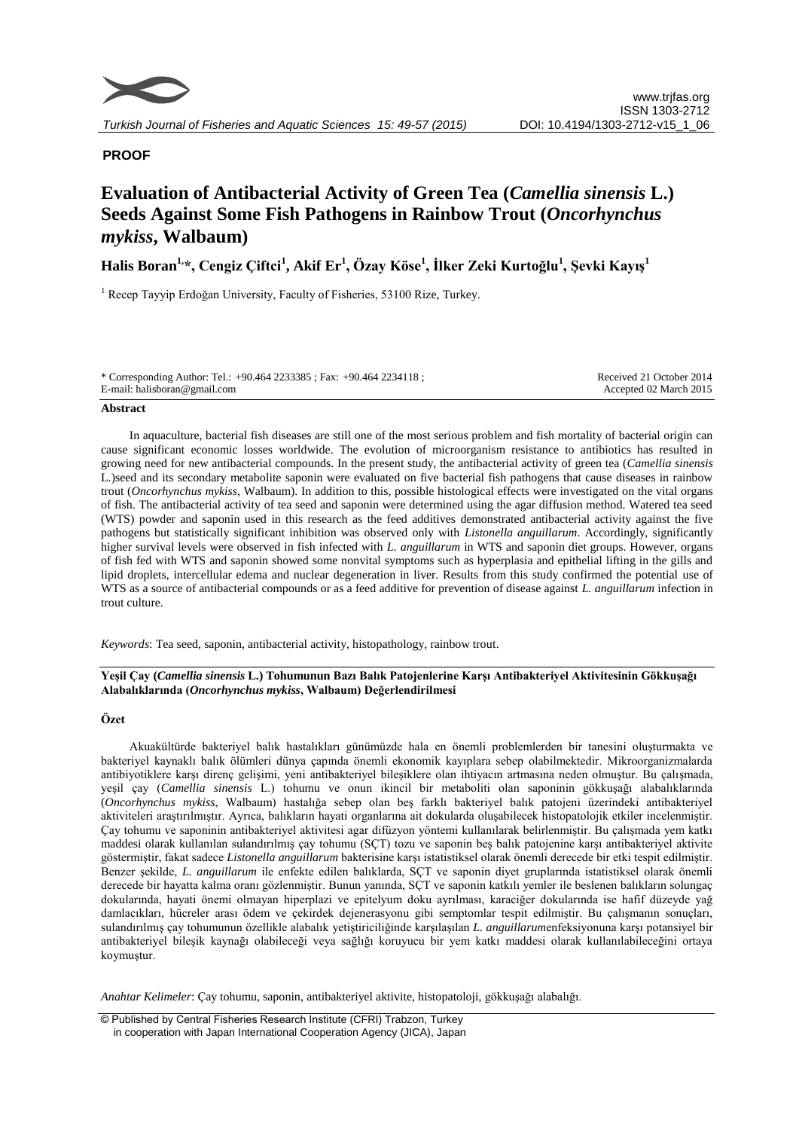

# **PROOF**

# **Evaluation of Antibacterial Activity of Green Tea (***Camellia sinensis* **L.) Seeds Against Some Fish Pathogens in Rainbow Trout (***Oncorhynchus mykiss***, Walbaum)**

**Halis Boran1,\*, Cengiz Çiftci<sup>1</sup> , Akif Er<sup>1</sup> , Özay Köse<sup>1</sup> , İlker Zeki Kurtoğlu<sup>1</sup> , Şevki Kayış<sup>1</sup>**

<sup>1</sup> Recep Tayyip Erdoğan University, Faculty of Fisheries, 53100 Rize, Turkey.

| * Corresponding Author: Tel.: $+90.4642233385$ ; Fax: $+90.4642234118$ ; | Received 21 October 2014 |
|--------------------------------------------------------------------------|--------------------------|
| E-mail: halisboran@gmail.com                                             | Accepted 02 March 2015   |

#### **Abstract**

In aquaculture, bacterial fish diseases are still one of the most serious problem and fish mortality of bacterial origin can cause significant economic losses worldwide. The evolution of microorganism resistance to antibiotics has resulted in growing need for new antibacterial compounds. In the present study, the antibacterial activity of green tea (*Camellia sinensis*  L.)seed and its secondary metabolite saponin were evaluated on five bacterial fish pathogens that cause diseases in rainbow trout (*Oncorhynchus mykiss*, Walbaum). In addition to this, possible histological effects were investigated on the vital organs of fish. The antibacterial activity of tea seed and saponin were determined using the agar diffusion method. Watered tea seed (WTS) powder and saponin used in this research as the feed additives demonstrated antibacterial activity against the five pathogens but statistically significant inhibition was observed only with *Listonella anguillarum*. Accordingly, significantly higher survival levels were observed in fish infected with *L. anguillarum* in WTS and saponin diet groups. However, organs of fish fed with WTS and saponin showed some nonvital symptoms such as hyperplasia and epithelial lifting in the gills and lipid droplets, intercellular edema and nuclear degeneration in liver. Results from this study confirmed the potential use of WTS as a source of antibacterial compounds or as a feed additive for prevention of disease against *L. anguillarum* infection in trout culture.

*Keywords*: Tea seed, saponin, antibacterial activity, histopathology, rainbow trout.

**Yeşil Çay (***Camellia sinensis* **L.) Tohumunun Bazı Balık Patojenlerine Karşı Antibakteriyel Aktivitesinin Gökkuşağı Alabalıklarında (***Oncorhynchus mykiss***, Walbaum) Değerlendirilmesi**

## **Özet**

Akuakültürde bakteriyel balık hastalıkları günümüzde hala en önemli problemlerden bir tanesini oluşturmakta ve bakteriyel kaynaklı balık ölümleri dünya çapında önemli ekonomik kayıplara sebep olabilmektedir. Mikroorganizmalarda antibiyotiklere karşı direnç gelişimi, yeni antibakteriyel bileşiklere olan ihtiyacın artmasına neden olmuştur. Bu çalışmada, yeşil çay (*Camellia sinensis* L.) tohumu ve onun ikincil bir metaboliti olan saponinin gökkuşağı alabalıklarında (*Oncorhynchus mykiss*, Walbaum) hastalığa sebep olan beş farklı bakteriyel balık patojeni üzerindeki antibakteriyel aktiviteleri araştırılmıştır. Ayrıca, balıkların hayati organlarına ait dokularda oluşabilecek histopatolojik etkiler incelenmiştir. Çay tohumu ve saponinin antibakteriyel aktivitesi agar difüzyon yöntemi kullanılarak belirlenmiştir. Bu çalışmada yem katkı maddesi olarak kullanılan sulandırılmış çay tohumu (SÇT) tozu ve saponin beş balık patojenine karşı antibakteriyel aktivite göstermiştir, fakat sadece *Listonella anguillarum* bakterisine karşı istatistiksel olarak önemli derecede bir etki tespit edilmiştir. Benzer şekilde, *L. anguillarum* ile enfekte edilen balıklarda, SÇT ve saponin diyet gruplarında istatistiksel olarak önemli derecede bir hayatta kalma oranı gözlenmiştir. Bunun yanında, SÇT ve saponin katkılı yemler ile beslenen balıkların solungaç dokularında, hayati önemi olmayan hiperplazi ve epitelyum doku ayrılması, karaciğer dokularında ise hafif düzeyde yağ damlacıkları, hücreler arası ödem ve çekirdek dejenerasyonu gibi semptomlar tespit edilmiştir. Bu çalışmanın sonuçları, sulandırılmış çay tohumunun özellikle alabalık yetiştiriciliğinde karşılaşılan *L. anguillarum*enfeksiyonuna karşı potansiyel bir antibakteriyel bileşik kaynağı olabileceği veya sağlığı koruyucu bir yem katkı maddesi olarak kullanılabileceğini ortaya koymuştur.

*Anahtar Kelimeler*: Çay tohumu, saponin, antibakteriyel aktivite, histopatoloji, gökkuşağı alabalığı.

© Published by Central Fisheries Research Institute (CFRI) Trabzon, Turkey in cooperation with Japan International Cooperation Agency (JICA), Japan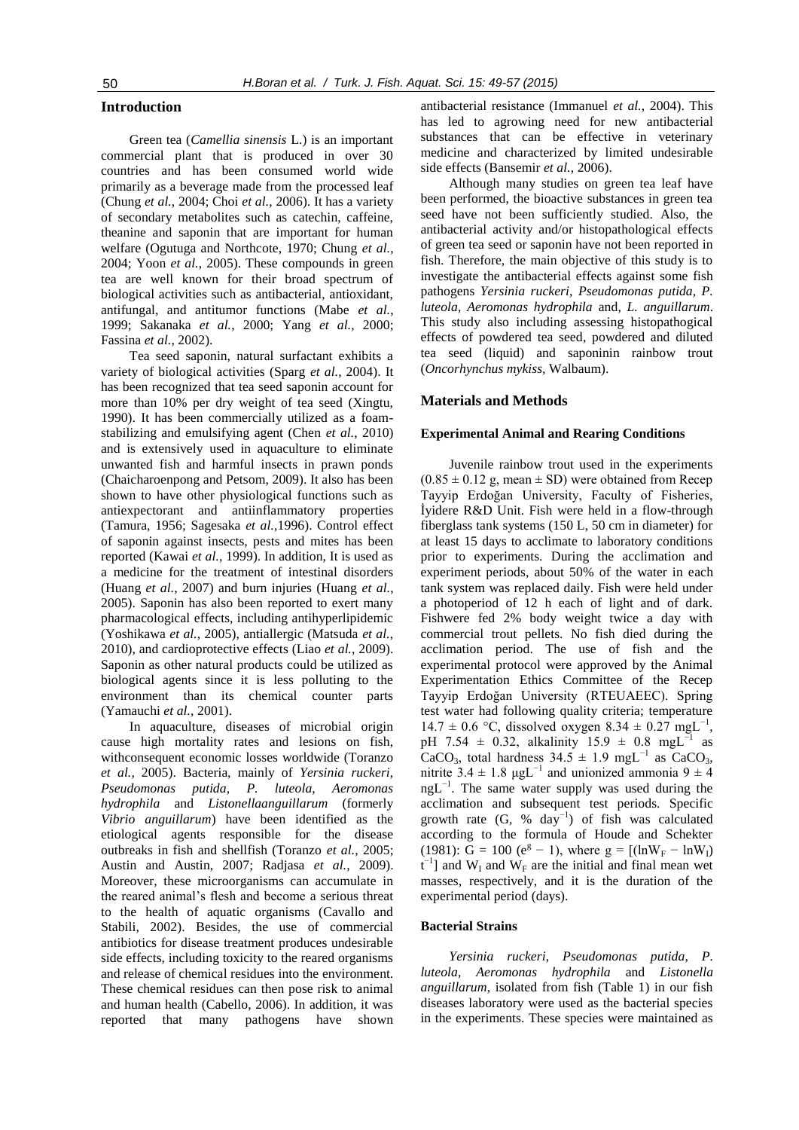#### **Introduction**

Green tea (*Camellia sinensis* L.) is an important commercial plant that is produced in over 30 countries and has been consumed world wide primarily as a beverage made from the processed leaf (Chung *et al.*, 2004; Choi *et al.*, 2006). It has a variety of secondary metabolites such as catechin, caffeine, theanine and saponin that are important for human welfare (Ogutuga and Northcote, 1970; Chung *et al.*, 2004; Yoon *et al.*, 2005). These compounds in green tea are well known for their broad spectrum of biological activities such as antibacterial, antioxidant, antifungal, and antitumor functions (Mabe *et al.*, 1999; Sakanaka *et al.*, 2000; Yang *et al.*, 2000; Fassina *et al.*, 2002).

Tea seed saponin, natural surfactant exhibits a variety of biological activities (Sparg *et al.*, 2004). It has been recognized that tea seed saponin account for more than 10% per dry weight of tea seed (Xingtu, 1990). It has been commercially utilized as a foamstabilizing and emulsifying agent (Chen *et al.*, 2010) and is extensively used in aquaculture to eliminate unwanted fish and harmful insects in prawn ponds (Chaicharoenpong and Petsom, 2009). It also has been shown to have other physiological functions such as antiexpectorant and antiinflammatory properties (Tamura, 1956; Sagesaka *et al.*,1996). Control effect of saponin against insects, pests and mites has been reported (Kawai *et al.*, 1999). In addition, It is used as a medicine for the treatment of intestinal disorders (Huang *et al.*, 2007) and burn injuries (Huang *et al.*, 2005). Saponin has also been reported to exert many pharmacological effects, including antihyperlipidemic (Yoshikawa *et al.*, 2005), antiallergic (Matsuda *et al.*, 2010), and cardioprotective effects (Liao *et al.*, 2009). Saponin as other natural products could be utilized as biological agents since it is less polluting to the environment than its chemical counter parts (Yamauchi *et al.*, 2001).

In aquaculture, diseases of microbial origin cause high mortality rates and lesions on fish, withconsequent economic losses worldwide (Toranzo *et al.*, 2005). Bacteria, mainly of *Yersinia ruckeri, Pseudomonas putida, P. luteola, Aeromonas hydrophila* and *Listonellaanguillarum* (formerly *Vibrio anguillarum*) have been identified as the etiological agents responsible for the disease outbreaks in fish and shellfish (Toranzo *et al.*, 2005; Austin and Austin, 2007; Radjasa *et al.*, 2009). Moreover, these microorganisms can accumulate in the reared animal's flesh and become a serious threat to the health of aquatic organisms (Cavallo and Stabili, 2002). Besides, the use of commercial antibiotics for disease treatment produces undesirable side effects, including toxicity to the reared organisms and release of chemical residues into the environment. These chemical residues can then pose risk to animal and human health (Cabello, 2006). In addition, it was reported that many pathogens have shown

antibacterial resistance (Immanuel *et al.*, 2004). This has led to agrowing need for new antibacterial substances that can be effective in veterinary medicine and characterized by limited undesirable side effects (Bansemir *et al.*, 2006).

Although many studies on green tea leaf have been performed, the bioactive substances in green tea seed have not been sufficiently studied. Also, the antibacterial activity and/or histopathological effects of green tea seed or saponin have not been reported in fish. Therefore, the main objective of this study is to investigate the antibacterial effects against some fish pathogens *Yersinia ruckeri*, *Pseudomonas putida, P. luteola, Aeromonas hydrophila* and, *L. anguillarum*. This study also including assessing histopathogical effects of powdered tea seed, powdered and diluted tea seed (liquid) and saponinin rainbow trout (*Oncorhynchus mykiss*, Walbaum).

#### **Materials and Methods**

#### **Experimental Animal and Rearing Conditions**

Juvenile rainbow trout used in the experiments  $(0.85 \pm 0.12 \text{ g}$ , mean  $\pm$  SD) were obtained from Recep Tayyip Erdoğan University, Faculty of Fisheries, İyidere R&D Unit. Fish were held in a flow-through fiberglass tank systems (150 L, 50 cm in diameter) for at least 15 days to acclimate to laboratory conditions prior to experiments. During the acclimation and experiment periods, about 50% of the water in each tank system was replaced daily. Fish were held under a photoperiod of 12 h each of light and of dark. Fishwere fed 2% body weight twice a day with commercial trout pellets. No fish died during the acclimation period. The use of fish and the experimental protocol were approved by the Animal Experimentation Ethics Committee of the Recep Tayyip Erdoğan University (RTEUAEEC). Spring test water had following quality criteria; temperature  $14.7 \pm 0.6$  °C, dissolved oxygen  $8.34 \pm 0.27$  mgL<sup>-1</sup>, pH 7.54  $\pm$  0.32, alkalinity 15.9  $\pm$  0.8 mgL<sup>-1</sup> as CaCO<sub>3</sub>, total hardness  $34.5 \pm 1.9$  mgL<sup>-1</sup> as CaCO<sub>3</sub>, nitrite  $3.4 \pm 1.8$  ugL<sup>-1</sup> and unionized ammonia 9  $\pm$  4  $ngL^{-1}$ . The same water supply was used during the acclimation and subsequent test periods. Specific growth rate  $(G, % day^{-1})$  of fish was calculated according to the formula of Houde and Schekter (1981):  $\bar{G} = 100 (e^{g} - 1)$ , where  $g = [(lnW_F - lnW_I)$  $t^{-1}$ ] and  $W_I$  and  $W_F$  are the initial and final mean wet masses, respectively, and it is the duration of the experimental period (days).

#### **Bacterial Strains**

*Yersinia ruckeri*, *Pseudomonas putida*, *P. luteola*, *Aeromonas hydrophila* and *Listonella anguillarum*, isolated from fish (Table 1) in our fish diseases laboratory were used as the bacterial species in the experiments. These species were maintained as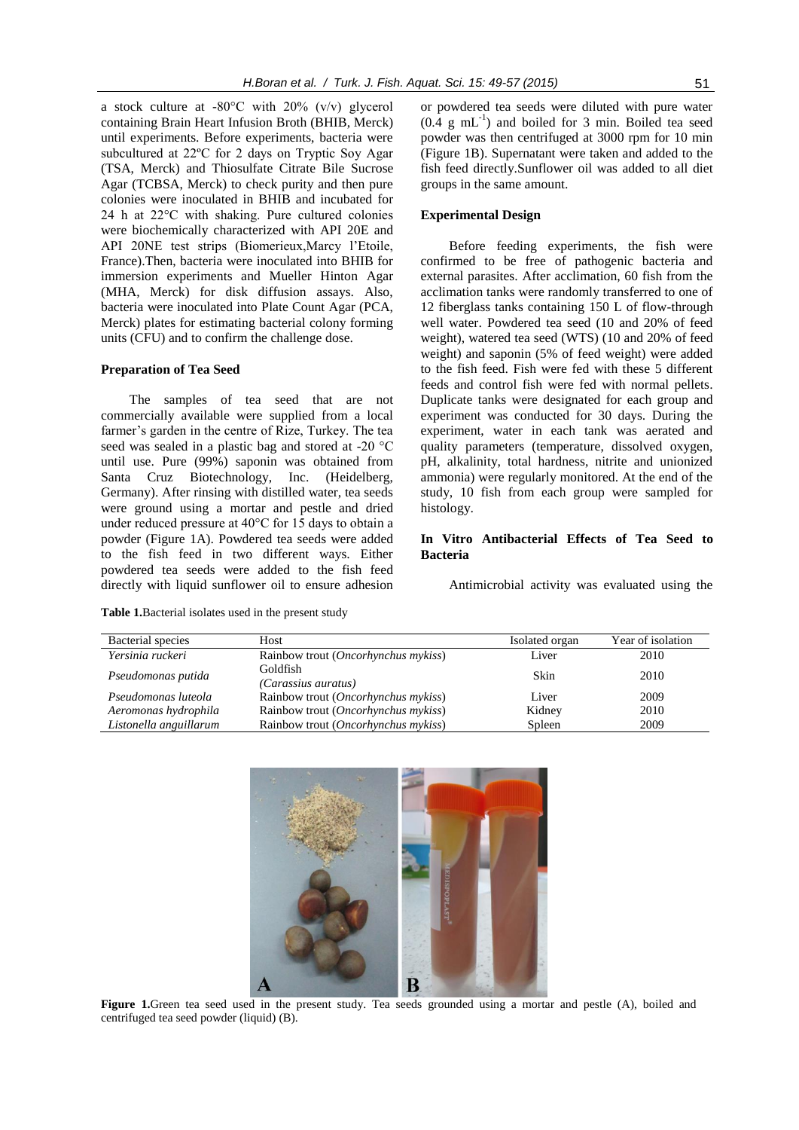a stock culture at -80°C with 20% (v/v) glycerol containing Brain Heart Infusion Broth (BHIB, Merck) until experiments. Before experiments, bacteria were subcultured at 22ºC for 2 days on Tryptic Soy Agar (TSA, Merck) and Thiosulfate Citrate Bile Sucrose Agar (TCBSA, Merck) to check purity and then pure colonies were inoculated in BHIB and incubated for 24 h at 22°C with shaking. Pure cultured colonies were biochemically characterized with API 20E and API 20NE test strips (Biomerieux,Marcy l'Etoile, France).Then, bacteria were inoculated into BHIB for immersion experiments and Mueller Hinton Agar (MHA, Merck) for disk diffusion assays. Also, bacteria were inoculated into Plate Count Agar (PCA, Merck) plates for estimating bacterial colony forming units (CFU) and to confirm the challenge dose.

#### **Preparation of Tea Seed**

The samples of tea seed that are not commercially available were supplied from a local farmer's garden in the centre of Rize, Turkey. The tea seed was sealed in a plastic bag and stored at -20 °C until use. Pure (99%) saponin was obtained from Santa Cruz Biotechnology, Inc. (Heidelberg, Germany). After rinsing with distilled water, tea seeds were ground using a mortar and pestle and dried under reduced pressure at 40°C for 15 days to obtain a powder (Figure 1A). Powdered tea seeds were added to the fish feed in two different ways. Either powdered tea seeds were added to the fish feed directly with liquid sunflower oil to ensure adhesion

or powdered tea seeds were diluted with pure water  $(0.4~g~mL^{-1})$  and boiled for 3 min. Boiled tea seed powder was then centrifuged at 3000 rpm for 10 min (Figure 1B). Supernatant were taken and added to the fish feed directly.Sunflower oil was added to all diet groups in the same amount.

## **Experimental Design**

Before feeding experiments, the fish were confirmed to be free of pathogenic bacteria and external parasites. After acclimation, 60 fish from the acclimation tanks were randomly transferred to one of 12 fiberglass tanks containing 150 L of flow-through well water. Powdered tea seed (10 and 20% of feed weight), watered tea seed (WTS) (10 and 20% of feed weight) and saponin (5% of feed weight) were added to the fish feed. Fish were fed with these 5 different feeds and control fish were fed with normal pellets. Duplicate tanks were designated for each group and experiment was conducted for 30 days. During the experiment, water in each tank was aerated and quality parameters (temperature, dissolved oxygen, pH, alkalinity, total hardness, nitrite and unionized ammonia) were regularly monitored. At the end of the study, 10 fish from each group were sampled for histology.

## **In Vitro Antibacterial Effects of Tea Seed to Bacteria**

Antimicrobial activity was evaluated using the

**Table 1.**Bacterial isolates used in the present study

| Bacterial species      | Host                                         | Isolated organ | Year of isolation |
|------------------------|----------------------------------------------|----------------|-------------------|
| Yersinia ruckeri       | Rainbow trout ( <i>Oncorhynchus mykiss</i> ) | Liver          | 2010              |
| Pseudomonas putida     | Goldfish<br>(Carassius auratus)              | Skin           | 2010              |
| Pseudomonas luteola    | Rainbow trout ( <i>Oncorhynchus mykiss</i> ) | Liver          | 2009              |
| Aeromonas hydrophila   | Rainbow trout ( <i>Oncorhynchus mykiss</i> ) | Kidney         | 2010              |
| Listonella anguillarum | Rainbow trout ( <i>Oncorhynchus mykiss</i> ) | Spleen         | 2009              |



**Figure 1.**Green tea seed used in the present study. Tea seeds grounded using a mortar and pestle (A), boiled and centrifuged tea seed powder (liquid) (B).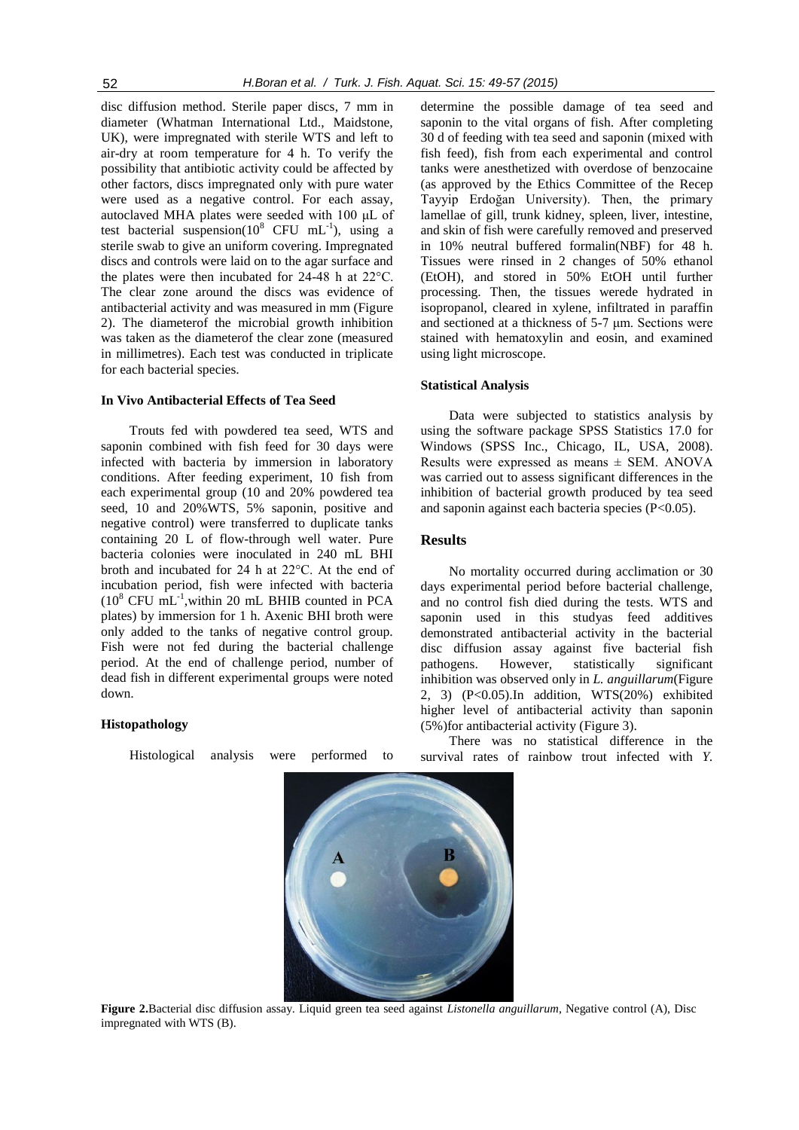disc diffusion method. Sterile paper discs, 7 mm in diameter (Whatman International Ltd., Maidstone, UK), were impregnated with sterile WTS and left to air-dry at room temperature for 4 h. To verify the possibility that antibiotic activity could be affected by other factors, discs impregnated only with pure water were used as a negative control. For each assay, autoclaved MHA plates were seeded with 100 μL of test bacterial suspension( $10^8$  CFU mL<sup>-1</sup>), using a sterile swab to give an uniform covering. Impregnated discs and controls were laid on to the agar surface and the plates were then incubated for 24-48 h at 22°C. The clear zone around the discs was evidence of antibacterial activity and was measured in mm (Figure 2). The diameterof the microbial growth inhibition was taken as the diameterof the clear zone (measured in millimetres). Each test was conducted in triplicate for each bacterial species.

## **In Vivo Antibacterial Effects of Tea Seed**

Trouts fed with powdered tea seed, WTS and saponin combined with fish feed for 30 days were infected with bacteria by immersion in laboratory conditions. After feeding experiment, 10 fish from each experimental group (10 and 20% powdered tea seed, 10 and 20%WTS, 5% saponin, positive and negative control) were transferred to duplicate tanks containing 20 L of flow-through well water. Pure bacteria colonies were inoculated in 240 mL BHI broth and incubated for 24 h at 22°C. At the end of incubation period, fish were infected with bacteria  $(10^8 \text{ CFU } \text{mL}^{-1}$ , within 20 mL BHIB counted in PCA plates) by immersion for 1 h. Axenic BHI broth were only added to the tanks of negative control group. Fish were not fed during the bacterial challenge period. At the end of challenge period, number of dead fish in different experimental groups were noted down.

## **Histopathology**

Histological analysis were performed to

determine the possible damage of tea seed and saponin to the vital organs of fish. After completing 30 d of feeding with tea seed and saponin (mixed with fish feed), fish from each experimental and control tanks were anesthetized with overdose of benzocaine (as approved by the Ethics Committee of the Recep Tayyip Erdoğan University). Then, the primary lamellae of gill, trunk kidney, spleen, liver, intestine, and skin of fish were carefully removed and preserved in 10% neutral buffered formalin(NBF) for 48 h. Tissues were rinsed in 2 changes of 50% ethanol (EtOH), and stored in 50% EtOH until further processing. Then, the tissues werede hydrated in isopropanol, cleared in xylene, infiltrated in paraffin and sectioned at a thickness of 5-7 μm. Sections were stained with hematoxylin and eosin, and examined using light microscope.

#### **Statistical Analysis**

Data were subjected to statistics analysis by using the software package SPSS Statistics 17.0 for Windows (SPSS Inc., Chicago, IL, USA, 2008). Results were expressed as means ± SEM. ANOVA was carried out to assess significant differences in the inhibition of bacterial growth produced by tea seed and saponin against each bacteria species (P<0.05).

## **Results**

No mortality occurred during acclimation or 30 days experimental period before bacterial challenge, and no control fish died during the tests. WTS and saponin used in this studyas feed additives demonstrated antibacterial activity in the bacterial disc diffusion assay against five bacterial fish pathogens. However, statistically significant inhibition was observed only in *L. anguillarum*(Figure 2, 3) (P<0.05).In addition, WTS(20%) exhibited higher level of antibacterial activity than saponin (5%)for antibacterial activity (Figure 3).

There was no statistical difference in the survival rates of rainbow trout infected with *Y.* 



**Figure 2.**Bacterial disc diffusion assay. Liquid green tea seed against *Listonella anguillarum*, Negative control (A), Disc impregnated with WTS (B).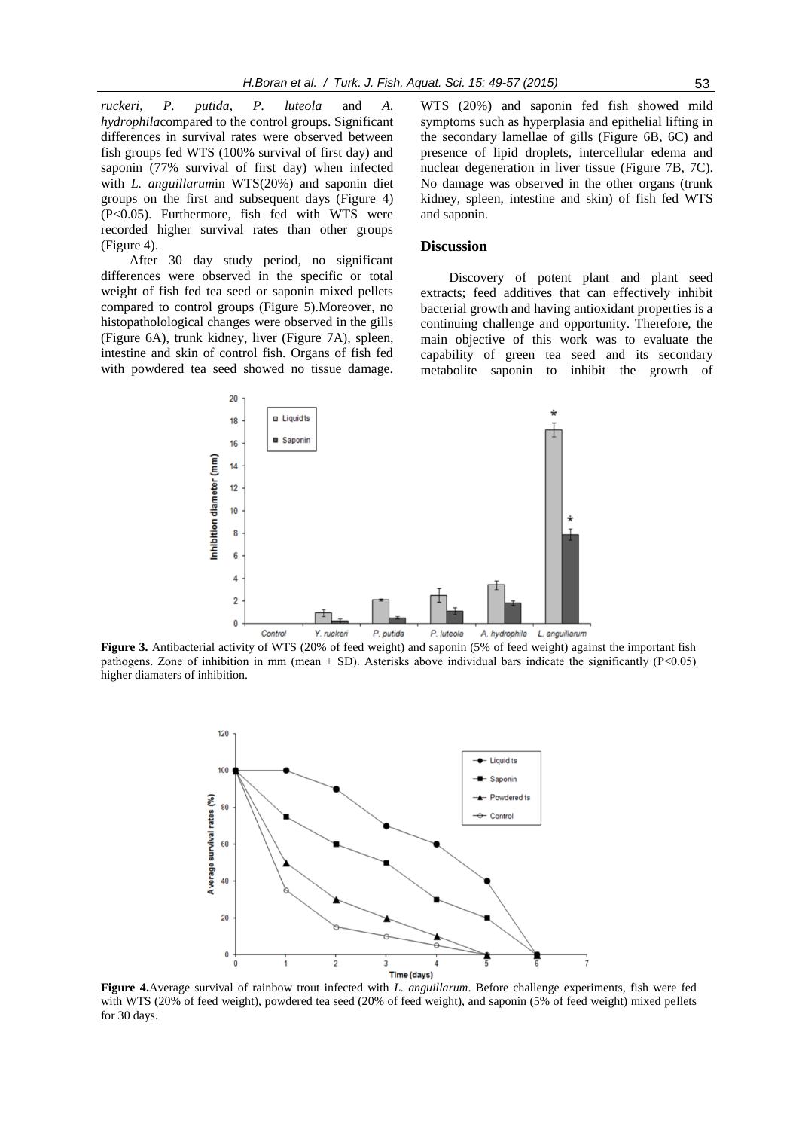*ruckeri*, *P. putida, P. luteola* and *A. hydrophila*compared to the control groups. Significant differences in survival rates were observed between fish groups fed WTS (100% survival of first day) and saponin (77% survival of first day) when infected with *L. anguillarum*in WTS(20%) and saponin diet groups on the first and subsequent days (Figure 4) (P<0.05). Furthermore, fish fed with WTS were recorded higher survival rates than other groups (Figure 4).

After 30 day study period, no significant differences were observed in the specific or total weight of fish fed tea seed or saponin mixed pellets compared to control groups (Figure 5).Moreover, no histopatholological changes were observed in the gills (Figure 6A), trunk kidney, liver (Figure 7A), spleen, intestine and skin of control fish. Organs of fish fed with powdered tea seed showed no tissue damage.

WTS (20%) and saponin fed fish showed mild symptoms such as hyperplasia and epithelial lifting in the secondary lamellae of gills (Figure 6B, 6C) and presence of lipid droplets, intercellular edema and nuclear degeneration in liver tissue (Figure 7B, 7C). No damage was observed in the other organs (trunk kidney, spleen, intestine and skin) of fish fed WTS and saponin.

## **Discussion**

Discovery of potent plant and plant seed extracts; feed additives that can effectively inhibit bacterial growth and having antioxidant properties is a continuing challenge and opportunity. Therefore, the main objective of this work was to evaluate the capability of green tea seed and its secondary metabolite saponin to inhibit the growth of



**Figure 3.** Antibacterial activity of WTS (20% of feed weight) and saponin (5% of feed weight) against the important fish pathogens. Zone of inhibition in mm (mean  $\pm$  SD). Asterisks above individual bars indicate the significantly (P<0.05) higher diamaters of inhibition.



**Figure 4.**Average survival of rainbow trout infected with *L. anguillarum*. Before challenge experiments, fish were fed with WTS (20% of feed weight), powdered tea seed (20% of feed weight), and saponin (5% of feed weight) mixed pellets for 30 days.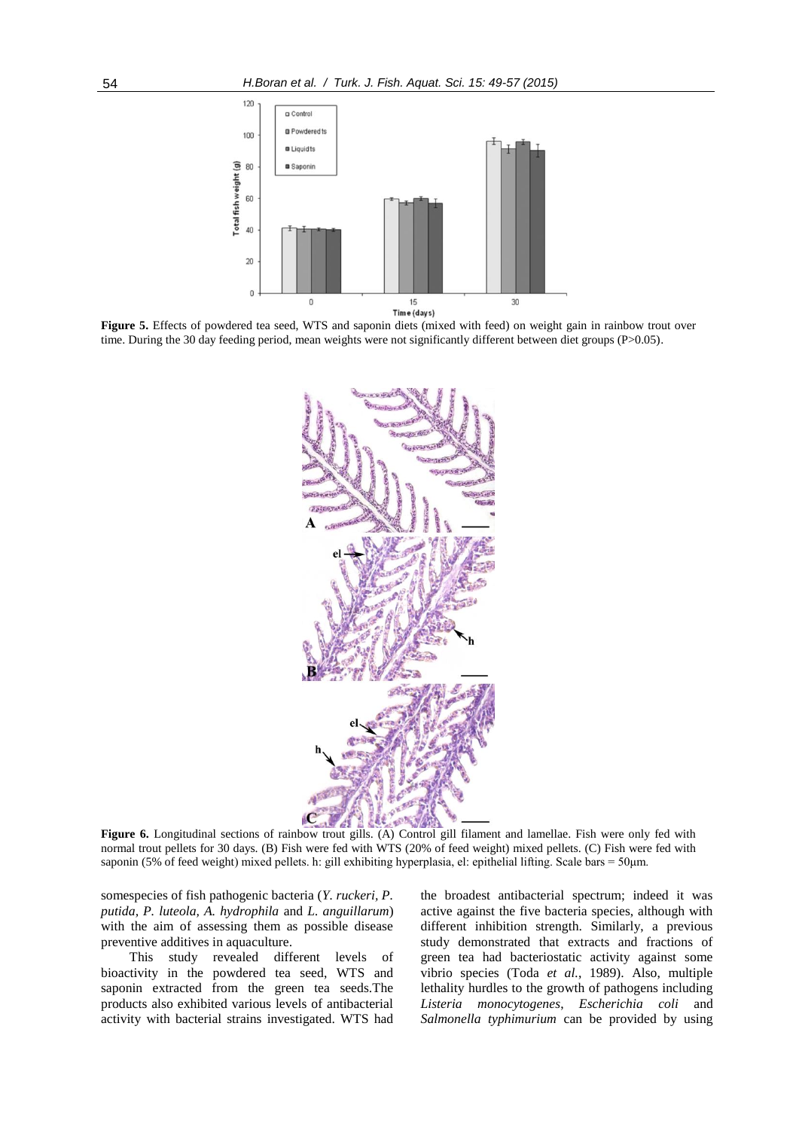

Figure 5. Effects of powdered tea seed, WTS and saponin diets (mixed with feed) on weight gain in rainbow trout over time. During the 30 day feeding period, mean weights were not significantly different between diet groups (P>0.05).



**Figure 6.** Longitudinal sections of rainbow trout gills. (A) Control gill filament and lamellae. Fish were only fed with normal trout pellets for 30 days. (B) Fish were fed with WTS (20% of feed weight) mixed pellets. (C) Fish were fed with saponin (5% of feed weight) mixed pellets. h: gill exhibiting hyperplasia, el: epithelial lifting. Scale bars = 50μm.

somespecies of fish pathogenic bacteria (*Y. ruckeri, P. putida, P. luteola, A. hydrophila* and *L. anguillarum*) with the aim of assessing them as possible disease preventive additives in aquaculture.

This study revealed different levels of bioactivity in the powdered tea seed, WTS and saponin extracted from the green tea seeds.The products also exhibited various levels of antibacterial activity with bacterial strains investigated. WTS had

the broadest antibacterial spectrum; indeed it was active against the five bacteria species, although with different inhibition strength. Similarly, a previous study demonstrated that extracts and fractions of green tea had bacteriostatic activity against some vibrio species (Toda *et al.*, 1989). Also, multiple lethality hurdles to the growth of pathogens including *Listeria monocytogenes*, *Escherichia coli* and *Salmonella typhimurium* can be provided by using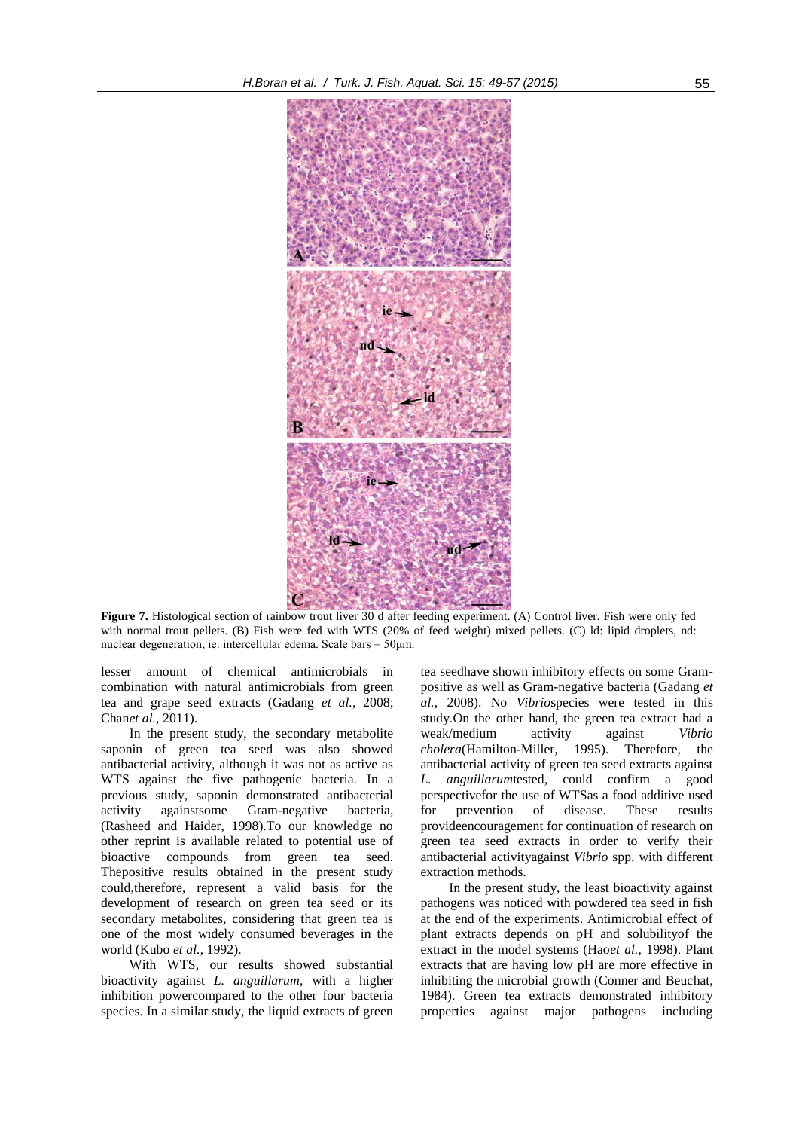

**Figure 7.** Histological section of rainbow trout liver 30 d after feeding experiment. (A) Control liver. Fish were only fed with normal trout pellets. (B) Fish were fed with WTS (20% of feed weight) mixed pellets. (C) ld: lipid droplets, nd: nuclear degeneration, ie: intercellular edema. Scale bars = 50μm.

lesser amount of chemical antimicrobials in combination with natural antimicrobials from green tea and grape seed extracts (Gadang *et al.*, 2008; Chan*et al.*, 2011).

In the present study, the secondary metabolite saponin of green tea seed was also showed antibacterial activity, although it was not as active as WTS against the five pathogenic bacteria. In a previous study, saponin demonstrated antibacterial activity againstsome Gram-negative bacteria, (Rasheed and Haider, 1998).To our knowledge no other reprint is available related to potential use of bioactive compounds from green tea seed. Thepositive results obtained in the present study could,therefore, represent a valid basis for the development of research on green tea seed or its secondary metabolites, considering that green tea is one of the most widely consumed beverages in the world (Kubo *et al.*, 1992).

With WTS, our results showed substantial bioactivity against *L. anguillarum*, with a higher inhibition powercompared to the other four bacteria species. In a similar study, the liquid extracts of green

tea seedhave shown inhibitory effects on some Grampositive as well as Gram-negative bacteria (Gadang *et al.*, 2008). No *Vibrio*species were tested in this study.On the other hand, the green tea extract had a weak/medium activity against *Vibrio cholera*(Hamilton-Miller, 1995). Therefore, the antibacterial activity of green tea seed extracts against *L. anguillarum*tested, could confirm a good perspectivefor the use of WTSas a food additive used for prevention of disease. These results provideencouragement for continuation of research on green tea seed extracts in order to verify their antibacterial activityagainst *Vibrio* spp. with different extraction methods.

In the present study, the least bioactivity against pathogens was noticed with powdered tea seed in fish at the end of the experiments. Antimicrobial effect of plant extracts depends on pH and solubilityof the extract in the model systems (Hao*et al.*, 1998). Plant extracts that are having low pH are more effective in inhibiting the microbial growth (Conner and Beuchat, 1984). Green tea extracts demonstrated inhibitory properties against major pathogens including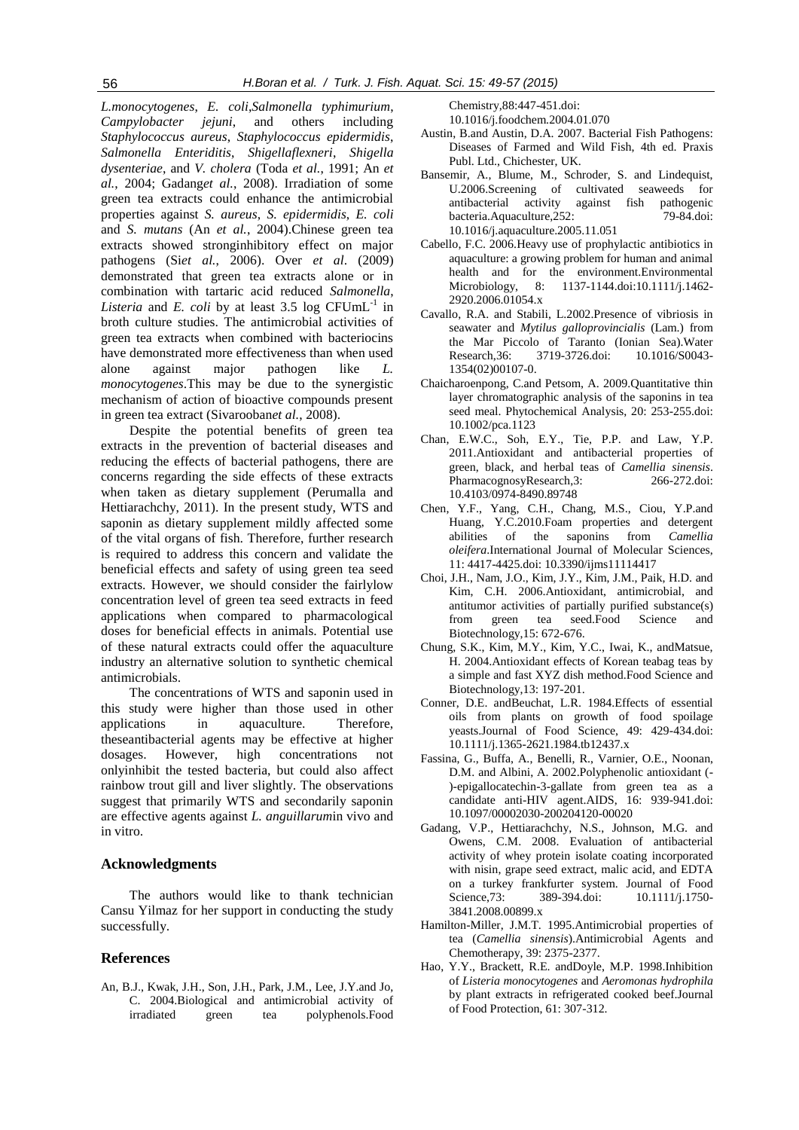*L.monocytogenes*, *E. coli*,*Salmonella typhimurium*, *Campylobacter jejuni*, and others including *Staphylococcus aureus*, *Staphylococcus epidermidis*, *Salmonella Enteriditis*, *Shigellaflexneri*, *Shigella dysenteriae*, and *V. cholera* (Toda *et al.*, 1991; An *et al.*, 2004; Gadang*et al.*, 2008). Irradiation of some green tea extracts could enhance the antimicrobial properties against *S. aureus*, *S. epidermidis*, *E. coli* and *S. mutans* (An *et al.*, 2004).Chinese green tea extracts showed stronginhibitory effect on major pathogens (Si*et al.*, 2006). Over *et al*. (2009) demonstrated that green tea extracts alone or in combination with tartaric acid reduced *Salmonella*, *Listeria* and *E. coli* by at least 3.5 log  $CFUmL^{-1}$  in broth culture studies. The antimicrobial activities of green tea extracts when combined with bacteriocins have demonstrated more effectiveness than when used alone against major pathogen like *L. monocytogenes*.This may be due to the synergistic mechanism of action of bioactive compounds present in green tea extract (Sivarooban*et al.*, 2008).

Despite the potential benefits of green tea extracts in the prevention of bacterial diseases and reducing the effects of bacterial pathogens, there are concerns regarding the side effects of these extracts when taken as dietary supplement (Perumalla and Hettiarachchy, 2011). In the present study, WTS and saponin as dietary supplement mildly affected some of the vital organs of fish. Therefore, further research is required to address this concern and validate the beneficial effects and safety of using green tea seed extracts. However, we should consider the fairlylow concentration level of green tea seed extracts in feed applications when compared to pharmacological doses for beneficial effects in animals. Potential use of these natural extracts could offer the aquaculture industry an alternative solution to synthetic chemical antimicrobials.

The concentrations of WTS and saponin used in this study were higher than those used in other applications in aquaculture. Therefore, theseantibacterial agents may be effective at higher dosages. However, high concentrations not onlyinhibit the tested bacteria, but could also affect rainbow trout gill and liver slightly. The observations suggest that primarily WTS and secondarily saponin are effective agents against *L. anguillarum*in vivo and in vitro.

## **Acknowledgments**

The authors would like to thank technician Cansu Yilmaz for her support in conducting the study successfully.

## **References**

An, B.J., Kwak, J.H., Son, J.H., Park, J.M., Lee, J.Y.and Jo, C. 2004.Biological and antimicrobial activity of irradiated green tea polyphenols.Food Chemistry,88:447-451.doi:

10.1016/j.foodchem.2004.01.070

- Austin, B.and Austin, D.A. 2007. Bacterial Fish Pathogens: Diseases of Farmed and Wild Fish, 4th ed. Praxis Publ. Ltd., Chichester, UK.
- Bansemir, A., Blume, M., Schroder, S. and Lindequist, U.2006.Screening of cultivated seaweeds for antibacterial activity against fish pathogenic bacteria.Aquaculture,252: 79-84.doi: 10.1016/j.aquaculture.2005.11.051
- Cabello, F.C. 2006.Heavy use of prophylactic antibiotics in aquaculture: a growing problem for human and animal health and for the environment.Environmental Microbiology, 8: 1137-1144.doi:10.1111/j.1462- 2920.2006.01054.x
- Cavallo, R.A. and Stabili, L.2002.Presence of vibriosis in seawater and *Mytilus galloprovincialis* (Lam.) from the Mar Piccolo of Taranto (Ionian Sea).Water Research,36: 3719-3726.doi: 10.1016/S0043- 1354(02)00107-0.
- Chaicharoenpong, C.and Petsom, A. 2009.Quantitative thin layer chromatographic analysis of the saponins in tea seed meal. Phytochemical Analysis, 20: 253-255.doi: 10.1002/pca.1123
- Chan, E.W.C., Soh, E.Y., Tie, P.P. and Law, Y.P. 2011.Antioxidant and antibacterial properties of green, black, and herbal teas of *Camellia sinensis*. PharmacognosyResearch,3: 266-272.doi: 10.4103/0974-8490.89748
- Chen, Y.F., Yang, C.H., Chang, M.S., Ciou, Y.P.and Huang, Y.C.2010.Foam properties and detergent abilities of the saponins from *Camellia oleifera*.International Journal of Molecular Sciences, 11: 4417-4425.doi: 10.3390/ijms11114417
- Choi, J.H., Nam, J.O., Kim, J.Y., Kim, J.M., Paik, H.D. and Kim, C.H. 2006.Antioxidant, antimicrobial, and antitumor activities of partially purified substance(s) from green tea seed.Food Science and Biotechnology,15: 672-676.
- Chung, S.K., Kim, M.Y., Kim, Y.C., Iwai, K., andMatsue, H. 2004.Antioxidant effects of Korean teabag teas by a simple and fast XYZ dish method.Food Science and Biotechnology,13: 197-201.
- Conner, D.E. andBeuchat, L.R. 1984.Effects of essential oils from plants on growth of food spoilage yeasts.Journal of Food Science, 49: 429-434.doi: 10.1111/j.1365-2621.1984.tb12437.x
- Fassina, G., Buffa, A., Benelli, R., Varnier, O.E., Noonan, D.M. and Albini, A. 2002.Polyphenolic antioxidant (- )-epigallocatechin-3-gallate from green tea as a candidate anti-HIV agent.AIDS, 16: 939-941.doi: 10.1097/00002030-200204120-00020
- Gadang, V.P., Hettiarachchy, N.S., Johnson, M.G. and Owens, C.M. 2008. Evaluation of antibacterial activity of whey protein isolate coating incorporated with nisin, grape seed extract, malic acid, and EDTA on a turkey frankfurter system. Journal of Food Science,73: 389-394.doi: 10.1111/j.1750-3841.2008.00899.x
- Hamilton-Miller, J.M.T. 1995.Antimicrobial properties of tea (*Camellia sinensis*).Antimicrobial Agents and Chemotherapy, 39: 2375-2377.
- Hao, Y.Y., Brackett, R.E. andDoyle, M.P. 1998.Inhibition of *Listeria monocytogenes* and *Aeromonas hydrophila* by plant extracts in refrigerated cooked beef.Journal of Food Protection, 61: 307-312.